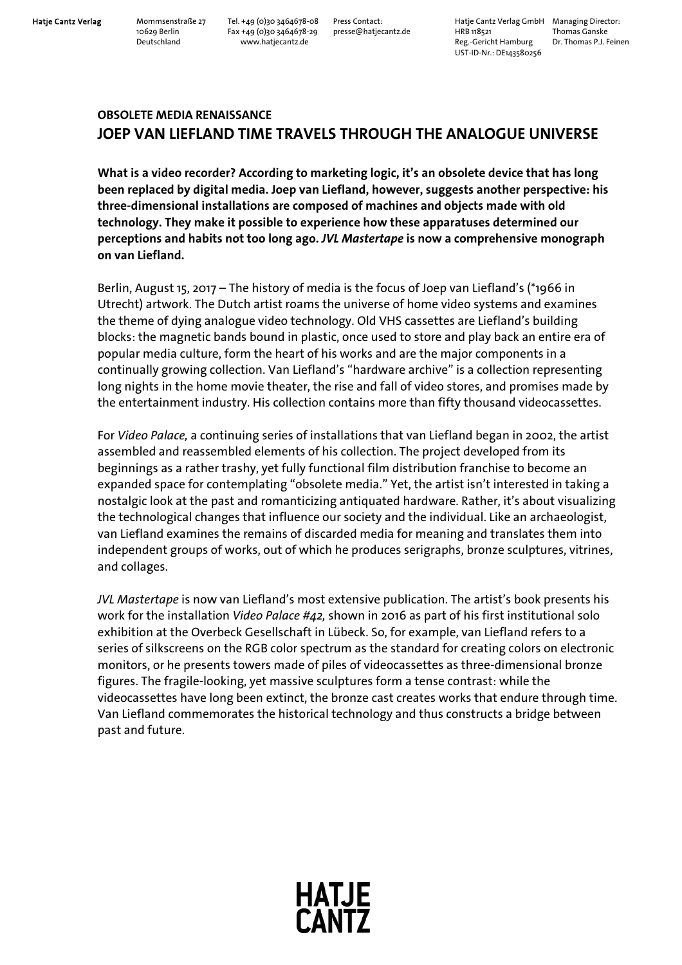Hatje Cantz Verlag Mommsenstraße 27 Tel. +49 (0)30 3464678-08 Press Contact: Hatje Cantz Verlag GmbH Managing Director:<br>10629 Berlin Fax +49 (0)30 3464678-29 presse@hatjecantz.de HRB 118521 Thomas Ganske 10629 Berlin Fax +49 (0)30 3464678-29 presse@hatjecantz.de HRB 118521 pressearce veriag of thomas Ganske<br>Deutschland Fax +49 (0)30 3464678-29 presse@hatjecantz.de HRB 118521 Thomas Ganske<br>Reg.-Gericht Hamburg Dr. Thomas P Reg.-Gericht Hamburg UST-ID-Nr.: DE143580256

## **OBSOLETE MEDIA RENAISSANCE JOEP VAN LIEFLAND TIME TRAVELS THROUGH THE ANALOGUE UNIVERSE**

**What is a video recorder? According to marketing logic, it's an obsolete device that has long been replaced by digital media. Joep van Liefland, however, suggests another perspective: his three-dimensional installations are composed of machines and objects made with old technology. They make it possible to experience how these apparatuses determined our perceptions and habits not too long ago.** *JVL Mastertape* **is now a comprehensive monograph on van Liefland.** 

Berlin, August 15, 2017 – The history of media is the focus of Joep van Liefland's (\*1966 in Utrecht) artwork. The Dutch artist roams the universe of home video systems and examines the theme of dying analogue video technology. Old VHS cassettes are Liefland's building blocks: the magnetic bands bound in plastic, once used to store and play back an entire era of popular media culture, form the heart of his works and are the major components in a continually growing collection. Van Liefland's "hardware archive" is a collection representing long nights in the home movie theater, the rise and fall of video stores, and promises made by the entertainment industry. His collection contains more than fifty thousand videocassettes.

For *Video Palace,* a continuing series of installations that van Liefland began in 2002, the artist assembled and reassembled elements of his collection. The project developed from its beginnings as a rather trashy, yet fully functional film distribution franchise to become an expanded space for contemplating "obsolete media." Yet, the artist isn't interested in taking a nostalgic look at the past and romanticizing antiquated hardware. Rather, it's about visualizing the technological changes that influence our society and the individual. Like an archaeologist, van Liefland examines the remains of discarded media for meaning and translates them into independent groups of works, out of which he produces serigraphs, bronze sculptures, vitrines, and collages.

*JVL Mastertape* is now van Liefland's most extensive publication. The artist's book presents his work for the installation *Video Palace #42,* shown in 2016 as part of his first institutional solo exhibition at the Overbeck Gesellschaft in Lübeck. So, for example, van Liefland refers to a series of silkscreens on the RGB color spectrum as the standard for creating colors on electronic monitors, or he presents towers made of piles of videocassettes as three-dimensional bronze figures. The fragile-looking, yet massive sculptures form a tense contrast: while the videocassettes have long been extinct, the bronze cast creates works that endure through time. Van Liefland commemorates the historical technology and thus constructs a bridge between past and future.